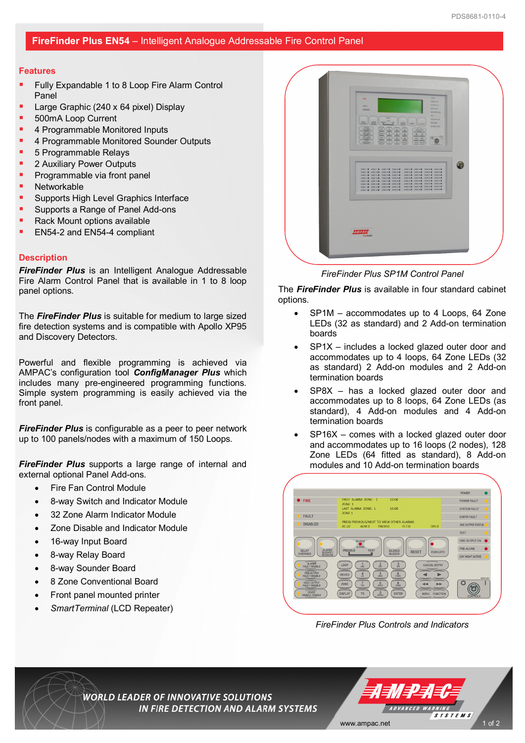# **FireFinder Plus EN54** – Intelligent Analogue Addressable Fire Control Panel

### **Features**

- Fully Expandable 1 to 8 Loop Fire Alarm Control Panel
- Large Graphic (240 x 64 pixel) Display
- 500mA Loop Current
- 4 Programmable Monitored Inputs
- 4 Programmable Monitored Sounder Outputs
- 5 Programmable Relays
- 2 Auxiliary Power Outputs
- Programmable via front panel
- Networkable
- Supports High Level Graphics Interface
- Supports a Range of Panel Add-ons
- Rack Mount options available
- EN54-2 and EN54-4 compliant

## **Description**

*FireFinder Plus* is an Intelligent Analogue Addressable Fire Alarm Control Panel that is available in 1 to 8 loop panel options.

The *FireFinder Plus* is suitable for medium to large sized fire detection systems and is compatible with Apollo XP95 and Discovery Detectors.

Powerful and flexible programming is achieved via AMPAC's configuration tool *ConfigManager Plus* which includes many pre-engineered programming functions. Simple system programming is easily achieved via the front panel.

*FireFinder Plus* is configurable as a peer to peer network up to 100 panels/nodes with a maximum of 150 Loops.

*FireFinder Plus* supports a large range of internal and external optional Panel Add-ons.

- Fire Fan Control Module
- 8-way Switch and Indicator Module
- 32 Zone Alarm Indicator Module
- Zone Disable and Indicator Module
- 16-way Input Board
- 8-way Relay Board
- 8-way Sounder Board
- 8 Zone Conventional Board
- Front panel mounted printer
- *SmartTerminal* (LCD Repeater)



*FireFinder Plus SP1M Control Panel*

The *FireFinder Plus* is available in four standard cabinet options.

- SP1M accommodates up to 4 Loops, 64 Zone LEDs (32 as standard) and 2 Add-on termination boards
- SP1X includes a locked glazed outer door and accommodates up to 4 loops, 64 Zone LEDs (32 as standard) 2 Add-on modules and 2 Add-on termination boards
- SP8X has a locked glazed outer door and accommodates up to 8 loops, 64 Zone LEDs (as standard), 4 Add-on modules and 4 Add-on termination boards
- SP16X comes with a locked glazed outer door and accommodates up to 16 loops (2 nodes), 128 Zone LEDs (64 fitted as standard), 8 Add-on modules and 10 Add-on termination boards



*FireFinder Plus Controls and Indicators*

**WORLD LEADER OF INNOVATIVE SOLUTIONS** IN FIRE DETECTION AND ALARM SYSTEMS